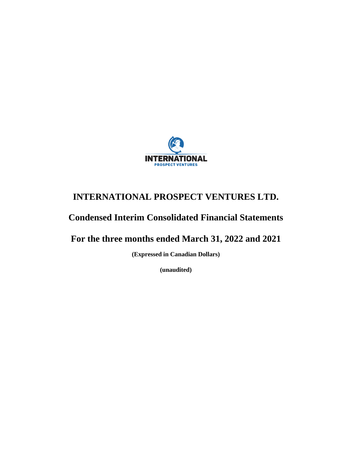

# **Condensed Interim Consolidated Financial Statements**

**For the three months ended March 31, 2022 and 2021**

**(Expressed in Canadian Dollars)**

**(unaudited)**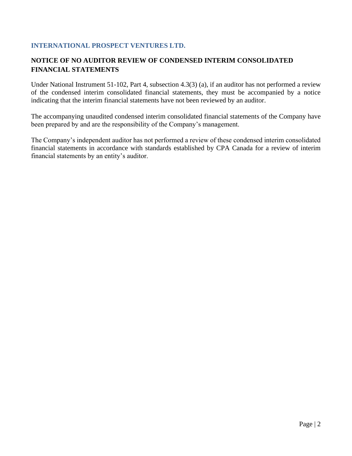# **NOTICE OF NO AUDITOR REVIEW OF CONDENSED INTERIM CONSOLIDATED FINANCIAL STATEMENTS**

Under National Instrument 51-102, Part 4, subsection 4.3(3) (a), if an auditor has not performed a review of the condensed interim consolidated financial statements, they must be accompanied by a notice indicating that the interim financial statements have not been reviewed by an auditor.

The accompanying unaudited condensed interim consolidated financial statements of the Company have been prepared by and are the responsibility of the Company's management.

The Company's independent auditor has not performed a review of these condensed interim consolidated financial statements in accordance with standards established by CPA Canada for a review of interim financial statements by an entity's auditor.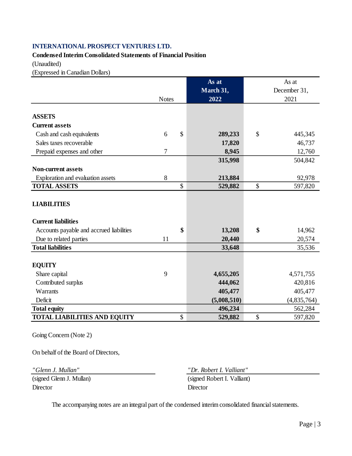# **Condensed Interim Consolidated Statements of Financial Position**

(Unaudited)

(Expressed in Canadian Dollars)

|                                          |                |               | As at       | As at         |
|------------------------------------------|----------------|---------------|-------------|---------------|
|                                          |                |               | March 31,   | December 31,  |
|                                          | <b>Notes</b>   |               | 2022        | 2021          |
|                                          |                |               |             |               |
| <b>ASSETS</b>                            |                |               |             |               |
| <b>Current assets</b>                    |                |               |             |               |
| Cash and cash equivalents                | 6              | $\mathcal{S}$ | 289,233     | \$<br>445,345 |
| Sales taxes recoverable                  |                |               | 17,820      | 46,737        |
| Prepaid expenses and other               | $\overline{7}$ |               | 8,945       | 12,760        |
|                                          |                |               | 315,998     | 504,842       |
| <b>Non-current assets</b>                |                |               |             |               |
| Exploration and evaluation assets        | 8              |               | 213,884     | 92,978        |
| <b>TOTAL ASSETS</b>                      |                | \$            | 529,882     | \$<br>597,820 |
| <b>LIABILITIES</b>                       |                |               |             |               |
| <b>Current liabilities</b>               |                |               |             |               |
| Accounts payable and accrued liabilities |                | \$            | 13,208      | \$<br>14,962  |
| Due to related parties                   | 11             |               | 20,440      | 20,574        |
| <b>Total liabilities</b>                 |                |               | 33,648      | 35,536        |
|                                          |                |               |             |               |
| <b>EQUITY</b>                            |                |               |             |               |
| Share capital                            | 9              |               | 4,655,205   | 4,571,755     |
| Contributed surplus                      |                |               | 444,062     | 420,816       |
| Warrants                                 |                |               | 405,477     | 405,477       |
| Deficit                                  |                |               | (5,008,510) | (4,835,764)   |
| <b>Total equity</b>                      |                |               | 496,234     | 562,284       |
| <b>TOTAL LIABILITIES AND EQUITY</b>      |                | \$            | 529,882     | \$<br>597,820 |

Going Concern (Note 2)

On behalf of the Board of Directors,

Director Director

*"Glenn J. Mullan" "Dr. Robert I. Valliant"*

(signed Glenn J. Mullan) (signed Robert I. Valliant)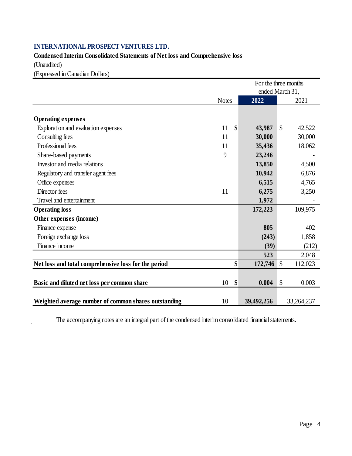# **Condensed Interim Consolidated Statements of Net loss and Comprehensive loss**

(Unaudited)

.

(Expressed in Canadian Dollars)

|                                                      |              |               | For the three months<br>ended March 31, |            |  |
|------------------------------------------------------|--------------|---------------|-----------------------------------------|------------|--|
|                                                      | <b>Notes</b> | 2022          |                                         | 2021       |  |
|                                                      |              |               |                                         |            |  |
| <b>Operating expenses</b>                            |              |               |                                         |            |  |
| Exploration and evaluation expenses                  | 11           | \$<br>43,987  | $\mathcal{S}$                           | 42,522     |  |
| Consulting fees                                      | 11           | 30,000        |                                         | 30,000     |  |
| Professional fees                                    | 11           | 35,436        |                                         | 18,062     |  |
| Share-based payments                                 | 9            | 23,246        |                                         |            |  |
| Investor and media relations                         |              | 13,850        |                                         | 4,500      |  |
| Regulatory and transfer agent fees                   |              | 10,942        |                                         | 6,876      |  |
| Office expenses                                      |              | 6,515         |                                         | 4,765      |  |
| Director fees                                        | 11           | 6,275         |                                         | 3,250      |  |
| Travel and entertainment                             |              | 1,972         |                                         |            |  |
| <b>Operating loss</b>                                |              | 172,223       |                                         | 109,975    |  |
| Other expenses (income)                              |              |               |                                         |            |  |
| Finance expense                                      |              | 805           |                                         | 402        |  |
| Foreign exchange loss                                |              | (243)         |                                         | 1,858      |  |
| Finance income                                       |              | (39)          |                                         | (212)      |  |
|                                                      |              | 523           |                                         | 2,048      |  |
| Net loss and total comprehensive loss for the period |              | \$<br>172,746 | \$                                      | 112,023    |  |
|                                                      |              |               |                                         |            |  |
| Basic and diluted net loss per common share          | 10           | \$<br>0.004   | $\mathcal{S}$                           | 0.003      |  |
|                                                      |              |               |                                         |            |  |
| Weighted average number of common shares outstanding | 10           | 39,492,256    |                                         | 33,264,237 |  |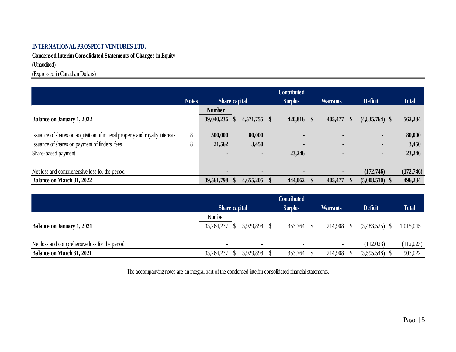**Condensed Interim Consolidated Statements of Changes in Equity**

(Unaudited)

(Expressed in Canadian Dollars)

|                                                                             |              |                |           | <b>Contributed</b> |                 |      |                  |              |
|-----------------------------------------------------------------------------|--------------|----------------|-----------|--------------------|-----------------|------|------------------|--------------|
|                                                                             | <b>Notes</b> | Share capital  |           | <b>Surplus</b>     | <b>Warrants</b> |      | <b>Deficit</b>   | <b>Total</b> |
|                                                                             |              | <b>Number</b>  |           |                    |                 |      |                  |              |
| <b>Balance on January 1, 2022</b>                                           |              | 39,040,236     | 4,571,755 | 420,816            | 405,477         | - \$ | $(4,835,764)$ \$ | 562,284      |
| Issuance of shares on acquisition of mineral property and royalty interests | 8            | 500,000        | 80,000    | $\blacksquare$     | $\blacksquare$  |      | $\blacksquare$   | 80,000       |
| Issuance of shares on payment of finders' fees                              | 8            | 21,562         | 3,450     |                    | $\blacksquare$  |      | $\blacksquare$   | 3,450        |
| Share-based payment                                                         |              | $\blacksquare$ |           | 23,246             |                 |      | $\blacksquare$   | 23,246       |
| Net loss and comprehensive loss for the period                              |              | $\blacksquare$ |           |                    |                 |      | (172,746)        | (172, 746)   |
| <b>Balance on March 31, 2022</b>                                            |              | 39,561,798     | 4,655,205 | 444,062            | 405,477         |      | $(5,008,510)$ \$ | 496,234      |

|                                                | <b>Contributed</b>       |  |                |  |                |  |                          |  |                  |              |
|------------------------------------------------|--------------------------|--|----------------|--|----------------|--|--------------------------|--|------------------|--------------|
|                                                | Share capital            |  |                |  | <b>Surplus</b> |  | <b>Warrants</b>          |  | <b>Deficit</b>   | <b>Total</b> |
|                                                | Number                   |  |                |  |                |  |                          |  |                  |              |
| <b>Balance on January 1, 2021</b>              | 33,264,237 \$            |  | 3,929,898 \$   |  | 353,764        |  | 214,908 \$               |  | $(3,483,525)$ \$ | 1,015,045    |
|                                                |                          |  |                |  |                |  |                          |  |                  |              |
| Net loss and comprehensive loss for the period | $\overline{\phantom{a}}$ |  | $\blacksquare$ |  |                |  | $\overline{\phantom{0}}$ |  | (112, 023)       | (112,023)    |
| Balance on March 31, 2021                      | 33,264,237 \$            |  | 3,929,898      |  | 353,764        |  | 214,908                  |  | (3,595,548)      | 903,022      |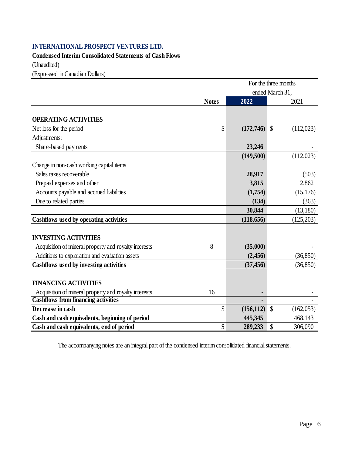**Condensed Interim Consolidated Statements of Cash Flows**

(Unaudited)

(Expressed in Canadian Dollars)

|                                                       |              | For the three months |               |            |  |  |  |
|-------------------------------------------------------|--------------|----------------------|---------------|------------|--|--|--|
|                                                       |              | ended March 31,      |               |            |  |  |  |
|                                                       | <b>Notes</b> | 2022                 |               | 2021       |  |  |  |
| <b>OPERATING ACTIVITIES</b>                           |              |                      |               |            |  |  |  |
| Net loss for the period                               | \$           | (172,746)            | $\mathcal{S}$ | (112,023)  |  |  |  |
| Adjustments:                                          |              |                      |               |            |  |  |  |
| Share-based payments                                  |              | 23,246               |               |            |  |  |  |
|                                                       |              | (149, 500)           |               | (112, 023) |  |  |  |
| Change in non-cash working capital items              |              |                      |               |            |  |  |  |
| Sales taxes recoverable                               |              | 28,917               |               | (503)      |  |  |  |
| Prepaid expenses and other                            |              | 3,815                |               | 2,862      |  |  |  |
| Accounts payable and accrued liabilities              |              | (1,754)              |               | (15, 176)  |  |  |  |
| Due to related parties                                |              | (134)                |               | (363)      |  |  |  |
|                                                       |              | 30,844               |               | (13,180)   |  |  |  |
| Cashflows used by operating activities                |              | (118, 656)           |               | (125, 203) |  |  |  |
| <b>INVESTING ACTIVITIES</b>                           |              |                      |               |            |  |  |  |
| Acquisition of mineral property and royalty interests | 8            | (35,000)             |               |            |  |  |  |
| Additions to exploration and evaluation assets        |              | (2, 456)             |               | (36, 850)  |  |  |  |
| Cashflows used by investing activities                |              | (37, 456)            |               | (36, 850)  |  |  |  |
|                                                       |              |                      |               |            |  |  |  |
| <b>FINANCING ACTIVITIES</b>                           |              |                      |               |            |  |  |  |
| Acquisition of mineral property and royalty interests | 16           |                      |               |            |  |  |  |
| <b>Cashflows from financing activities</b>            |              |                      |               |            |  |  |  |
| Decrease in cash                                      | \$           | (156, 112)           | \$            | (162, 053) |  |  |  |
| Cash and cash equivalents, beginning of period        |              | 445,345              |               | 468,143    |  |  |  |
| Cash and cash equivalents, end of period              | \$           | 289,233              | \$            | 306,090    |  |  |  |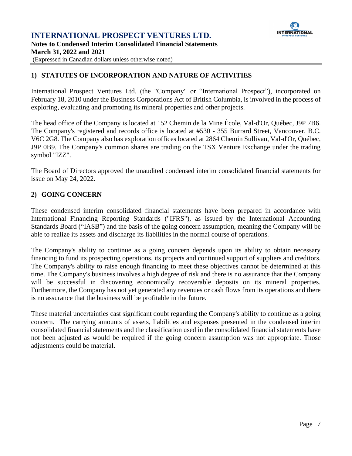

# **1) STATUTES OF INCORPORATION AND NATURE OF ACTIVITIES**

International Prospect Ventures Ltd. (the "Company" or "International Prospect"), incorporated on February 18, 2010 under the Business Corporations Act of British Columbia, is involved in the process of exploring, evaluating and promoting its mineral properties and other projects.

The head office of the Company is located at 152 Chemin de la Mine École, Val-d'Or, Québec, J9P 7B6. The Company's registered and records office is located at #530 - 355 Burrard Street, Vancouver, B.C. V6C 2G8. The Company also has exploration offices located at 2864 Chemin Sullivan, Val-d'Or, Québec, J9P 0B9. The Company's common shares are trading on the TSX Venture Exchange under the trading symbol "IZZ".

The Board of Directors approved the unaudited condensed interim consolidated financial statements for issue on May 24, 2022.

# **2) GOING CONCERN**

These condensed interim consolidated financial statements have been prepared in accordance with International Financing Reporting Standards ("IFRS"), as issued by the International Accounting Standards Board ("IASB") and the basis of the going concern assumption, meaning the Company will be able to realize its assets and discharge its liabilities in the normal course of operations.

The Company's ability to continue as a going concern depends upon its ability to obtain necessary financing to fund its prospecting operations, its projects and continued support of suppliers and creditors. The Company's ability to raise enough financing to meet these objectives cannot be determined at this time. The Company's business involves a high degree of risk and there is no assurance that the Company will be successful in discovering economically recoverable deposits on its mineral properties. Furthermore, the Company has not yet generated any revenues or cash flows from its operations and there is no assurance that the business will be profitable in the future.

These material uncertainties cast significant doubt regarding the Company's ability to continue as a going concern. The carrying amounts of assets, liabilities and expenses presented in the condensed interim consolidated financial statements and the classification used in the consolidated financial statements have not been adjusted as would be required if the going concern assumption was not appropriate. Those adjustments could be material.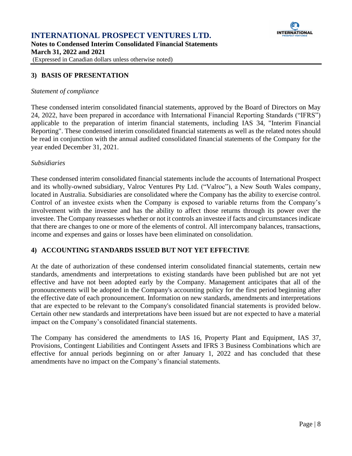

# **3) BASIS OF PRESENTATION**

#### *Statement of compliance*

These condensed interim consolidated financial statements, approved by the Board of Directors on May 24, 2022, have been prepared in accordance with International Financial Reporting Standards ("IFRS") applicable to the preparation of interim financial statements, including IAS 34, "Interim Financial Reporting". These condensed interim consolidated financial statements as well as the related notes should be read in conjunction with the annual audited consolidated financial statements of the Company for the year ended December 31, 2021.

#### *Subsidiaries*

These condensed interim consolidated financial statements include the accounts of International Prospect and its wholly-owned subsidiary, Valroc Ventures Pty Ltd. ("Valroc"), a New South Wales company, located in Australia. Subsidiaries are consolidated where the Company has the ability to exercise control. Control of an investee exists when the Company is exposed to variable returns from the Company's involvement with the investee and has the ability to affect those returns through its power over the investee. The Company reassesses whether or not it controls an investee if facts and circumstances indicate that there are changes to one or more of the elements of control. All intercompany balances, transactions, income and expenses and gains or losses have been eliminated on consolidation.

# **4) ACCOUNTING STANDARDS ISSUED BUT NOT YET EFFECTIVE**

At the date of authorization of these condensed interim consolidated financial statements, certain new standards, amendments and interpretations to existing standards have been published but are not yet effective and have not been adopted early by the Company. Management anticipates that all of the pronouncements will be adopted in the Company's accounting policy for the first period beginning after the effective date of each pronouncement. Information on new standards, amendments and interpretations that are expected to be relevant to the Company's consolidated financial statements is provided below. Certain other new standards and interpretations have been issued but are not expected to have a material impact on the Company's consolidated financial statements.

The Company has considered the amendments to IAS 16, Property Plant and Equipment, IAS 37, Provisions, Contingent Liabilities and Contingent Assets and IFRS 3 Business Combinations which are effective for annual periods beginning on or after January 1, 2022 and has concluded that these amendments have no impact on the Company's financial statements.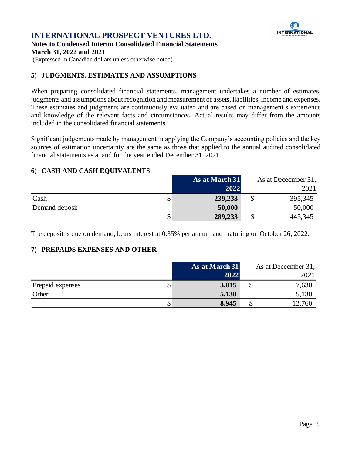

# **5) JUDGMENTS, ESTIMATES AND ASSUMPTIONS**

When preparing consolidated financial statements, management undertakes a number of estimates, judgments and assumptions about recognition and measurement of assets, liabilities, income and expenses. These estimates and judgments are continuously evaluated and are based on management's experience and knowledge of the relevant facts and circumstances. Actual results may differ from the amounts included in the consolidated financial statements.

Significant judgements made by management in applying the Company's accounting policies and the key sources of estimation uncertainty are the same as those that applied to the annual audited consolidated financial statements as at and for the year ended December 31, 2021.

# **6) CASH AND CASH EQUIVALENTS**

|                | As at March 31 | As at December 31, |
|----------------|----------------|--------------------|
|                | 2022           | 2021               |
| Cash<br>P      | 239,233        | \$<br>395,345      |
| Demand deposit | 50,000         | 50,000             |
| \$             | 289,233        | 445,345            |

The deposit is due on demand, bears interest at 0.35% per annum and maturing on October 26, 2022.

#### **7) PREPAIDS EXPENSES AND OTHER**

|                       | As at March 31 |   | As at December 31, |
|-----------------------|----------------|---|--------------------|
|                       | 2022           |   | 2021               |
| Prepaid expenses<br>P | 3,815          | Φ | 7,630              |
| Other                 | 5,130          |   | 5,130              |
| \$                    | 8,945          |   | 12,760             |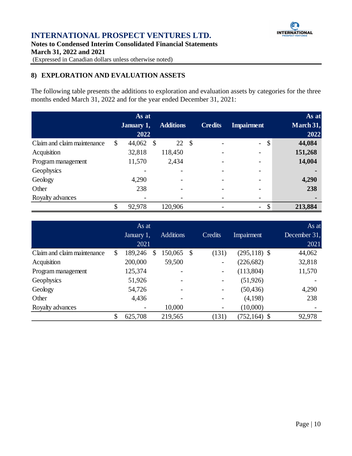

**Notes to Condensed Interim Consolidated Financial Statements March 31, 2022 and 2021** (Expressed in Canadian dollars unless otherwise noted)

# **8) EXPLORATION AND EVALUATION ASSETS**

The following table presents the additions to exploration and evaluation assets by categories for the three months ended March 31, 2022 and for the year ended December 31, 2021:

|                             | As at<br><b>January 1,</b><br>2022 |     | <b>Additions</b> | <b>Credits</b> | <b>Impairment</b>                   | As at<br>March 31,<br>2022 |
|-----------------------------|------------------------------------|-----|------------------|----------------|-------------------------------------|----------------------------|
| Claim and claim maintenance | \$<br>44,062                       | -\$ | 22S              |                | $\boldsymbol{\mathsf{S}}$<br>$\Box$ | 44,084                     |
| Acquisition                 | 32,818                             |     | 118,450          |                |                                     | 151,268                    |
| Program management          | 11,570                             |     | 2,434            |                |                                     | 14,004                     |
| Geophysics                  |                                    |     |                  |                |                                     |                            |
| Geology                     | 4,290                              |     |                  |                |                                     | 4,290                      |
| Other                       | 238                                |     |                  |                |                                     | 238                        |
| Royalty advances            |                                    |     |                  |                |                                     | $\blacksquare$             |
|                             | \$<br>92,978                       |     | 120,906          |                | \$<br>$\mathbb{L}^+$                | 213,884                    |

|                             | As at         |   |                  |               |         |                 | As at        |
|-----------------------------|---------------|---|------------------|---------------|---------|-----------------|--------------|
|                             | January 1,    |   | <b>Additions</b> |               | Credits | Impairment      | December 31, |
|                             | 2021          |   |                  |               |         |                 | 2021         |
| Claim and claim maintenance | \$<br>189,246 | S | 150,065          | $\mathcal{S}$ | (131)   | $(295, 118)$ \$ | 44,062       |
| Acquisition                 | 200,000       |   | 59,500           |               | -       | (226, 682)      | 32,818       |
| Program management          | 125,374       |   |                  |               | -       | (113,804)       | 11,570       |
| Geophysics                  | 51,926        |   |                  |               |         | (51, 926)       |              |
| Geology                     | 54,726        |   |                  |               |         | (50, 436)       | 4,290        |
| Other                       | 4,436         |   |                  |               | -       | (4,198)         | 238          |
| Royalty advances            |               |   | 10,000           |               |         | (10,000)        |              |
|                             | \$<br>625,708 |   | 219,565          |               | (131)   | $(752, 164)$ \$ | 92,978       |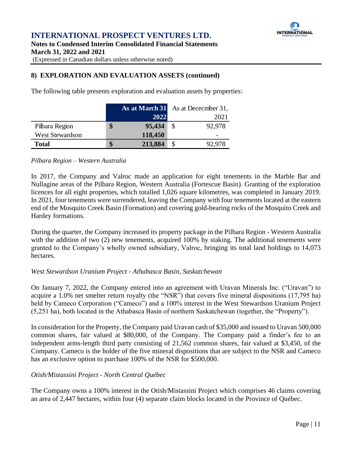

# **8) EXPLORATION AND EVALUATION ASSETS (continued)**

The following table presents exploration and evaluation assets by properties:

|                        |    |         | As at March 31 As at December 31, |
|------------------------|----|---------|-----------------------------------|
|                        |    | 2022    | 2021                              |
| Pilbara Region         | \$ | 95,434  | 92,978                            |
| <b>West Stewardson</b> |    | 118,450 |                                   |
| <b>Total</b>           | S  | 213,884 | 92,978                            |

#### *Pilbara Region – Western Australia*

In 2017, the Company and Valroc made an application for eight tenements in the Marble Bar and Nullagine areas of the Pilbara Region, Western Australia (Fortescue Basin). Granting of the exploration licences for all eight properties, which totalled 1,026 square kilometres, was completed in January 2019. In 2021, four tenements were surrendered, leaving the Company with four tenements located at the eastern end of the Mosquito Creek Basin (Formation) and covering gold-bearing rocks of the Mosquito Creek and Hardey formations.

During the quarter, the Company increased its property package in the Pilbara Region - Western Australia with the addition of two (2) new tenements, acquired 100% by staking. The additional tenements were granted to the Company's wholly owned subsidiary, Valroc, bringing its total land holdings to 14,073 hectares.

#### *West Stewardson Uranium Project - Athabasca Basin, Saskatchewan*

On January 7, 2022, the Company entered into an agreement with Uravan Minerals Inc. ("Uravan") to acquire a 1.0% net smelter return royalty (the "NSR") that covers five mineral dispositions (17,795 ha) held by Cameco Corporation ("Cameco") and a 100% interest in the West Stewardson Uranium Project (5,251 ha), both located in the Athabasca Basin of northern Saskatchewan (together, the "Property").

In consideration for the Property, the Company paid Uravan cash of \$35,000 and issued to Uravan 500,000 common shares, fair valued at \$80,000, of the Company. The Company paid a finder's fee to an independent arms-length third party consisting of 21,562 common shares, fair valued at \$3,450, of the Company. Cameco is the holder of the five mineral dispositions that are subject to the NSR and Cameco has an exclusive option to purchase 100% of the NSR for \$500,000.

#### *Otish/Mistassini Project - North Central Québec*

The Company owns a 100% interest in the Otish/Mistassini Project which comprises 46 claims covering an area of 2,447 hectares, within four (4) separate claim blocks located in the Province of Québec.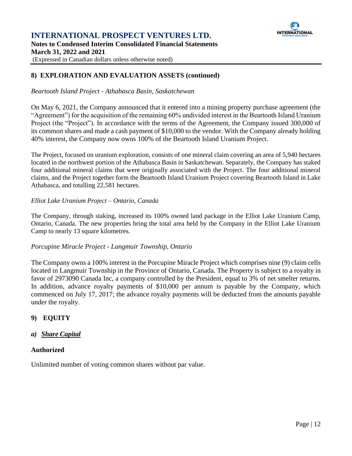

# **8) EXPLORATION AND EVALUATION ASSETS (continued)**

#### *Beartooth Island Project - Athabasca Basin, Saskatchewan*

On May 6, 2021, the Company announced that it entered into a mining property purchase agreement (the "Agreement") for the acquisition of the remaining 60% undivided interest in the Beartooth Island Uranium Project (the "Project"). In accordance with the terms of the Agreement, the Company issued 300,000 of its common shares and made a cash payment of \$10,000 to the vendor. With the Company already holding 40% interest, the Company now owns 100% of the Beartooth Island Uranium Project.

The Project, focused on uranium exploration, consists of one mineral claim covering an area of 5,940 hectares located in the northwest portion of the Athabasca Basin in Saskatchewan. Separately, the Company has staked four additional mineral claims that were originally associated with the Project. The four additional mineral claims, and the Project together form the Beartooth Island Uranium Project covering Beartooth Island in Lake Athabasca, and totalling 22,581 hectares.

#### *Elliot Lake Uranium Project – Ontario, Canada*

The Company, through staking, increased its 100% owned land package in the Elliot Lake Uranium Camp, Ontario, Canada. The new properties bring the total area held by the Company in the Elliot Lake Uranium Camp to nearly 13 square kilometres.

# *Porcupine Miracle Project - Langmuir Township, Ontario*

The Company owns a 100% interest in the Porcupine Miracle Project which comprises nine (9) claim cells located in Langmuir Township in the Province of Ontario, Canada. The Property is subject to a royalty in favor of 2973090 Canada Inc, a company controlled by the President, equal to 3% of net smelter returns. In addition, advance royalty payments of \$10,000 per annum is payable by the Company, which commenced on July 17, 2017; the advance royalty payments will be deducted from the amounts payable under the royalty.

# **9) EQUITY**

# *a) Share Capital*

# **Authorized**

Unlimited number of voting common shares without par value.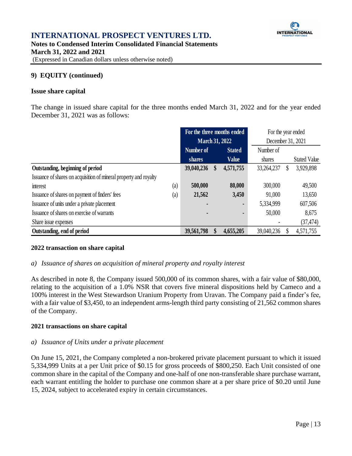

**March 31, 2022 and 2021**

(Expressed in Canadian dollars unless otherwise noted)

# **9) EQUITY (continued)**

#### **Issue share capital**

The change in issued share capital for the three months ended March 31, 2022 and for the year ended December 31, 2021 was as follows:

|                                                                   |     | For the three months ended |               |              | For the year ended |   |                     |
|-------------------------------------------------------------------|-----|----------------------------|---------------|--------------|--------------------|---|---------------------|
|                                                                   |     | <b>March 31, 2022</b>      |               |              | December 31, 2021  |   |                     |
|                                                                   |     | Number of                  | <b>Stated</b> |              | Number of          |   |                     |
|                                                                   |     | shares                     |               | <b>Value</b> | shares             |   | <b>Stated Value</b> |
| Outstanding, beginning of period                                  |     | 39,040,236                 | \$            | 4,571,755    | 33,264,237         | S | 3,929,898           |
| Issuance of shares on acquisition of mineral property and royalty |     |                            |               |              |                    |   |                     |
| interest                                                          | (a) | 500,000                    |               | 80,000       | 300,000            |   | 49,500              |
| Issuance of shares on payment of finders' fees                    | (a) | 21,562                     |               | 3,450        | 91,000             |   | 13,650              |
| Issuance of units under a private placement                       |     |                            |               |              | 5,334,999          |   | 607,506             |
| Issuance of shares on exercise of warrants                        |     |                            |               |              | 50,000             |   | 8,675               |
| Share issue expenses                                              |     |                            |               |              |                    |   | (37, 474)           |
| Outstanding, end of period                                        |     | 39,561,798                 |               | 4,655,205    | 39,040,236         |   | 4,571,755           |

#### **2022 transaction on share capital**

# *a) Issuance of shares on acquisition of mineral property and royalty interest*

As described in note 8, the Company issued 500,000 of its common shares, with a fair value of \$80,000, relating to the acquisition of a 1.0% NSR that covers five mineral dispositions held by Cameco and a 100% interest in the West Stewardson Uranium Property from Uravan. The Company paid a finder's fee, with a fair value of \$3,450, to an independent arms-length third party consisting of 21,562 common shares of the Company.

#### **2021 transactions on share capital**

#### *a) Issuance of Units under a private placement*

On June 15, 2021, the Company completed a non-brokered private placement pursuant to which it issued 5,334,999 Units at a per Unit price of \$0.15 for gross proceeds of \$800,250. Each Unit consisted of one common share in the capital of the Company and one-half of one non-transferable share purchase warrant, each warrant entitling the holder to purchase one common share at a per share price of \$0.20 until June 15, 2024, subject to accelerated expiry in certain circumstances.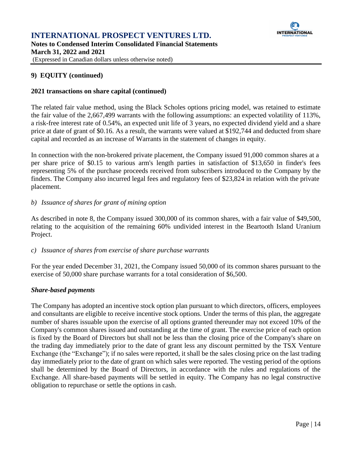

# **9) EQUITY (continued)**

#### **2021 transactions on share capital (continued)**

The related fair value method, using the Black Scholes options pricing model, was retained to estimate the fair value of the 2,667,499 warrants with the following assumptions: an expected volatility of 113%, a risk-free interest rate of 0.54%, an expected unit life of 3 years, no expected dividend yield and a share price at date of grant of \$0.16. As a result, the warrants were valued at \$192,744 and deducted from share capital and recorded as an increase of Warrants in the statement of changes in equity.

In connection with the non-brokered private placement, the Company issued 91,000 common shares at a per share price of \$0.15 to various arm's length parties in satisfaction of \$13,650 in finder's fees representing 5% of the purchase proceeds received from subscribers introduced to the Company by the finders. The Company also incurred legal fees and regulatory fees of \$23,824 in relation with the private placement.

#### *b) Issuance of shares for grant of mining option*

As described in note 8, the Company issued 300,000 of its common shares, with a fair value of \$49,500, relating to the acquisition of the remaining 60% undivided interest in the Beartooth Island Uranium Project.

#### *c) Issuance of shares from exercise of share purchase warrants*

For the year ended December 31, 2021, the Company issued 50,000 of its common shares pursuant to the exercise of 50,000 share purchase warrants for a total consideration of \$6,500.

#### *Share-based payments*

The Company has adopted an incentive stock option plan pursuant to which directors, officers, employees and consultants are eligible to receive incentive stock options. Under the terms of this plan, the aggregate number of shares issuable upon the exercise of all options granted thereunder may not exceed 10% of the Company's common shares issued and outstanding at the time of grant. The exercise price of each option is fixed by the Board of Directors but shall not be less than the closing price of the Company's share on the trading day immediately prior to the date of grant less any discount permitted by the TSX Venture Exchange (the "Exchange"); if no sales were reported, it shall be the sales closing price on the last trading day immediately prior to the date of grant on which sales were reported. The vesting period of the options shall be determined by the Board of Directors, in accordance with the rules and regulations of the Exchange. All share-based payments will be settled in equity. The Company has no legal constructive obligation to repurchase or settle the options in cash.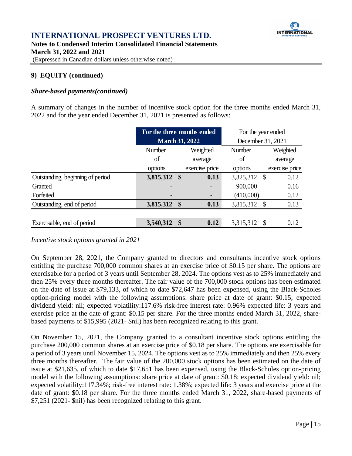

**March 31, 2022 and 2021**

(Expressed in Canadian dollars unless otherwise noted)

# **9) EQUITY (continued)**

# *Share-based payments(continued)*

A summary of changes in the number of incentive stock option for the three months ended March 31, 2022 and for the year ended December 31, 2021 is presented as follows:

|                                  |                | For the three months ended   | For the year ended |                |  |  |  |  |
|----------------------------------|----------------|------------------------------|--------------------|----------------|--|--|--|--|
|                                  |                | <b>March 31, 2022</b>        | December 31, 2021  |                |  |  |  |  |
|                                  | Number         | Weighted                     | Number             | Weighted       |  |  |  |  |
|                                  | of             | average                      | of                 | average        |  |  |  |  |
|                                  | options        | exercise price               | options            | exercise price |  |  |  |  |
| Outstanding, beginning of period | 3,815,312      | $\sqrt{\frac{2}{5}}$<br>0.13 | 3,325,312 \$       | 0.12           |  |  |  |  |
| Granted                          | $\blacksquare$ | $\blacksquare$               | 900,000            | 0.16           |  |  |  |  |
| Forfeited                        | $\blacksquare$ | $\blacksquare$               | (410,000)          | 0.12           |  |  |  |  |
| Outstanding, end of period       | 3,815,312      | 0.13<br>$\sqrt[6]{3}$        | 3,815,312          | 0.13<br>- \$   |  |  |  |  |
|                                  |                |                              |                    |                |  |  |  |  |
| Exercisable, end of period       | 3,540,312      | 0.12<br>$\sqrt$              | 3,315,312          | 0.12<br>- \$   |  |  |  |  |

*Incentive stock options granted in 2021*

On September 28, 2021, the Company granted to directors and consultants incentive stock options entitling the purchase 700,000 common shares at an exercise price of \$0.15 per share. The options are exercisable for a period of 3 years until September 28, 2024. The options vest as to 25% immediately and then 25% every three months thereafter. The fair value of the 700,000 stock options has been estimated on the date of issue at \$79,133, of which to date \$72,647 has been expensed, using the Black-Scholes option-pricing model with the following assumptions: share price at date of grant: \$0.15; expected dividend yield: nil; expected volatility:117.6% risk-free interest rate: 0.96% expected life: 3 years and exercise price at the date of grant: \$0.15 per share. For the three months ended March 31, 2022, sharebased payments of \$15,995 (2021- \$nil) has been recognized relating to this grant.

On November 15, 2021, the Company granted to a consultant incentive stock options entitling the purchase 200,000 common shares at an exercise price of \$0.18 per share. The options are exercisable for a period of 3 years until November 15, 2024. The options vest as to 25% immediately and then 25% every three months thereafter. The fair value of the 200,000 stock options has been estimated on the date of issue at \$21,635, of which to date \$17,651 has been expensed, using the Black-Scholes option-pricing model with the following assumptions: share price at date of grant: \$0.18; expected dividend yield: nil; expected volatility:117.34%; risk-free interest rate: 1.38%; expected life: 3 years and exercise price at the date of grant: \$0.18 per share. For the three months ended March 31, 2022, share-based payments of \$7,251 (2021- \$nil) has been recognized relating to this grant.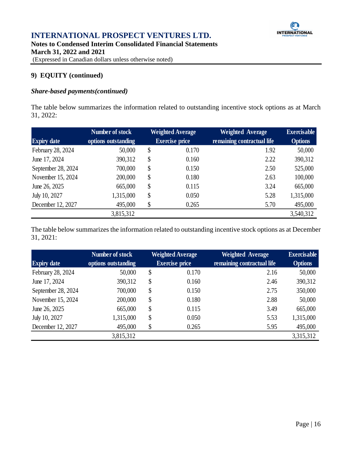

# **9) EQUITY (continued)**

# *Share-based payments(continued)*

The table below summarizes the information related to outstanding incentive stock options as at March 31, 2022:

|                    | Number of stock     | <b>Weighted Average</b> |       | <b>Weighted Average</b>    | <b>Exercisable</b> |
|--------------------|---------------------|-------------------------|-------|----------------------------|--------------------|
| <b>Expiry date</b> | options outstanding | <b>Exercise price</b>   |       | remaining contractual life | <b>Options</b>     |
| February 28, 2024  | 50,000              | \$                      | 0.170 | 1.92                       | 50,000             |
| June 17, 2024      | 390,312             | \$                      | 0.160 | 2.22                       | 390,312            |
| September 28, 2024 | 700,000             | \$                      | 0.150 | 2.50                       | 525,000            |
| November 15, 2024  | 200,000             | \$                      | 0.180 | 2.63                       | 100,000            |
| June 26, 2025      | 665,000             | \$                      | 0.115 | 3.24                       | 665,000            |
| July 10, 2027      | 1,315,000           | \$                      | 0.050 | 5.28                       | 1,315,000          |
| December 12, 2027  | 495,000             | \$                      | 0.265 | 5.70                       | 495,000            |
|                    | 3,815,312           |                         |       |                            | 3,540,312          |

The table below summarizes the information related to outstanding incentive stock options as at December 31, 2021:

|                    | Number of stock     | <b>Weighted Average</b> |       | <b>Weighted Average</b>    | <b>Exercisable</b> |
|--------------------|---------------------|-------------------------|-------|----------------------------|--------------------|
| <b>Expiry date</b> | options outstanding | <b>Exercise price</b>   |       | remaining contractual life | <b>Options</b>     |
| February 28, 2024  | 50,000              | \$                      | 0.170 | 2.16                       | 50,000             |
| June 17, 2024      | 390,312             | \$                      | 0.160 | 2.46                       | 390,312            |
| September 28, 2024 | 700,000             | \$                      | 0.150 | 2.75                       | 350,000            |
| November 15, 2024  | 200,000             | \$                      | 0.180 | 2.88                       | 50,000             |
| June 26, 2025      | 665,000             | \$                      | 0.115 | 3.49                       | 665,000            |
| July 10, 2027      | 1,315,000           | \$                      | 0.050 | 5.53                       | 1,315,000          |
| December 12, 2027  | 495,000             | \$                      | 0.265 | 5.95                       | 495,000            |
|                    | 3,815,312           |                         |       |                            | 3,315,312          |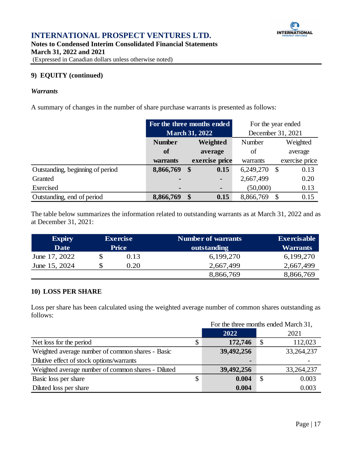

**March 31, 2022 and 2021** (Expressed in Canadian dollars unless otherwise noted)

# **9) EQUITY (continued)**

#### *Warrants*

A summary of changes in the number of share purchase warrants is presented as follows:

|                                  |                                   | For the three months ended | For the year ended |                       |  |  |
|----------------------------------|-----------------------------------|----------------------------|--------------------|-----------------------|--|--|
|                                  |                                   | <b>March 31, 2022</b>      | December 31, 2021  |                       |  |  |
|                                  | Weighted<br><b>Number</b>         |                            | Number             | Weighted              |  |  |
|                                  | <b>of</b><br>average              |                            | of                 | average               |  |  |
|                                  | exercise price<br><b>warrants</b> |                            | warrants           | exercise price        |  |  |
| Outstanding, beginning of period | 8,866,769                         | 0.15<br>$\boldsymbol{\$}$  | 6,249,270          | 0.13<br>$\mathcal{S}$ |  |  |
| Granted                          |                                   | ٠                          | 2,667,499          | 0.20                  |  |  |
| Exercised                        |                                   | ٠                          | (50,000)           | 0.13                  |  |  |
| Outstanding, end of period       | 8,866,769                         | 0.15<br>\$                 | 8,866,769          | 0.15<br>\$            |  |  |

The table below summarizes the information related to outstanding warrants as at March 31, 2022 and as at December 31, 2021:

| <b>Expiry</b> | <b>Exercise</b> | Number of warrants | <b>Exercisable</b> |
|---------------|-----------------|--------------------|--------------------|
| <b>Date</b>   | <b>Price</b>    | outstanding        | <b>Warrants</b>    |
| June 17, 2022 | 0.13            | 6,199,270          | 6,199,270          |
| June 15, 2024 | 0.20            | 2,667,499          | 2,667,499          |
|               |                 | 8,866,769          | 8,866,769          |

# **10) LOSS PER SHARE**

Loss per share has been calculated using the weighted average number of common shares outstanding as follows:

|                                                    | For the three months ended March 31, |    |              |  |  |
|----------------------------------------------------|--------------------------------------|----|--------------|--|--|
|                                                    | 2022                                 |    | 2021         |  |  |
| Net loss for the period                            | 172,746                              | S  | 112,023      |  |  |
| Weighted average number of common shares - Basic   | 39,492,256                           |    | 33,264,237   |  |  |
| Dilutive effect of stock options/warrants          | $\blacksquare$                       |    |              |  |  |
| Weighted average number of common shares - Diluted | 39,492,256                           |    | 33, 264, 237 |  |  |
| Basic loss per share                               | 0.004                                | \$ | 0.003        |  |  |
| Diluted loss per share                             | 0.004                                |    | 0.003        |  |  |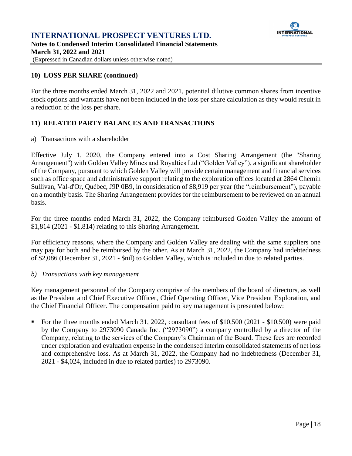

# **10) LOSS PER SHARE (continued)**

For the three months ended March 31, 2022 and 2021, potential dilutive common shares from incentive stock options and warrants have not been included in the loss per share calculation as they would result in a reduction of the loss per share.

# **11) RELATED PARTY BALANCES AND TRANSACTIONS**

a) Transactions with a shareholder

Effective July 1, 2020, the Company entered into a Cost Sharing Arrangement (the "Sharing Arrangement") with Golden Valley Mines and Royalties Ltd ("Golden Valley"), a significant shareholder of the Company, pursuant to which Golden Valley will provide certain management and financial services such as office space and administrative support relating to the exploration offices located at 2864 Chemin Sullivan, Val-d'Or, Québec, J9P 0B9, in consideration of \$8,919 per year (the "reimbursement"), payable on a monthly basis. The Sharing Arrangement provides for the reimbursement to be reviewed on an annual basis.

For the three months ended March 31, 2022, the Company reimbursed Golden Valley the amount of \$1,814 (2021 - \$1,814) relating to this Sharing Arrangement.

For efficiency reasons, where the Company and Golden Valley are dealing with the same suppliers one may pay for both and be reimbursed by the other. As at March 31, 2022, the Company had indebtedness of \$2,086 (December 31, 2021 - \$nil) to Golden Valley, which is included in due to related parties.

# *b) Transactions with key management*

Key management personnel of the Company comprise of the members of the board of directors, as well as the President and Chief Executive Officer, Chief Operating Officer, Vice President Exploration, and the Chief Financial Officer. The compensation paid to key management is presented below:

For the three months ended March 31, 2022, consultant fees of  $$10,500$  (2021 -  $$10,500$ ) were paid by the Company to 2973090 Canada Inc. ("2973090") a company controlled by a director of the Company, relating to the services of the Company's Chairman of the Board. These fees are recorded under exploration and evaluation expense in the condensed interim consolidated statements of net loss and comprehensive loss. As at March 31, 2022, the Company had no indebtedness (December 31, 2021 - \$4,024, included in due to related parties) to 2973090.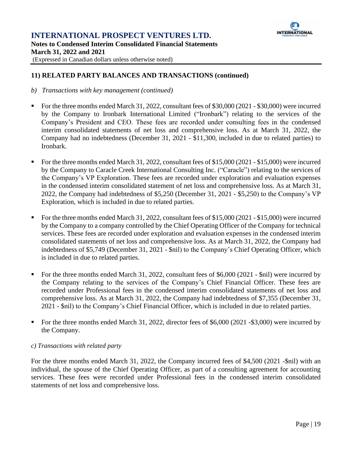

# **11) RELATED PARTY BALANCES AND TRANSACTIONS (continued)**

- *b) Transactions with key management (continued)*
- For the three months ended March 31, 2022, consultant fees of \$30,000 (2021 \$30,000) were incurred by the Company to Ironbark International Limited ("Ironbark") relating to the services of the Company's President and CEO. These fees are recorded under consulting fees in the condensed interim consolidated statements of net loss and comprehensive loss. As at March 31, 2022, the Company had no indebtedness (December 31, 2021 - \$11,300, included in due to related parties) to Ironbark.
- For the three months ended March 31, 2022, consultant fees of \$15,000 (2021 \$15,000) were incurred by the Company to Caracle Creek International Consulting Inc. ("Caracle") relating to the services of the Company's VP Exploration. These fees are recorded under exploration and evaluation expenses in the condensed interim consolidated statement of net loss and comprehensive loss. As at March 31, 2022, the Company had indebtedness of \$5,250 (December 31, 2021 - \$5,250) to the Company's VP Exploration, which is included in due to related parties.
- For the three months ended March 31, 2022, consultant fees of  $$15,000 (2021 $15,000)$  were incurred by the Company to a company controlled by the Chief Operating Officer of the Company for technical services. These fees are recorded under exploration and evaluation expenses in the condensed interim consolidated statements of net loss and comprehensive loss. As at March 31, 2022, the Company had indebtedness of \$5,749 (December 31, 2021 - \$nil) to the Company's Chief Operating Officer, which is included in due to related parties.
- For the three months ended March 31, 2022, consultant fees of \$6,000 (2021 \$nil) were incurred by the Company relating to the services of the Company's Chief Financial Officer. These fees are recorded under Professional fees in the condensed interim consolidated statements of net loss and comprehensive loss. As at March 31, 2022, the Company had indebtedness of \$7,355 (December 31, 2021 - \$nil) to the Company's Chief Financial Officer, which is included in due to related parties.
- For the three months ended March 31, 2022, director fees of \$6,000 (2021 \$3,000) were incurred by the Company.

#### *c) Transactions with related party*

For the three months ended March 31, 2022, the Company incurred fees of \$4,500 (2021 -\$nil) with an individual, the spouse of the Chief Operating Officer, as part of a consulting agreement for accounting services. These fees were recorded under Professional fees in the condensed interim consolidated statements of net loss and comprehensive loss.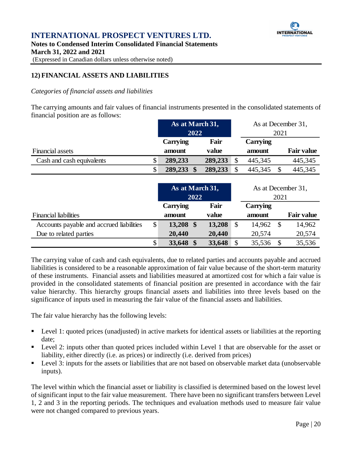

# **12) FINANCIAL ASSETS AND LIABILITIES**

#### *Categories of financial assets and liabilities*

The carrying amounts and fair values of financial instruments presented in the consolidated statements of financial position are as follows:

|                           |  | As at March 31, |         | As at December 31, |  |                   |
|---------------------------|--|-----------------|---------|--------------------|--|-------------------|
|                           |  | 2022            |         | 2021               |  |                   |
|                           |  | <b>Carrying</b> | Fair    | <b>Carrying</b>    |  |                   |
| Financial assets          |  | amount          | value   | amount             |  | <b>Fair value</b> |
| Cash and cash equivalents |  | 289,233         | 289,233 | 445,345            |  | 445,345           |
|                           |  | 289,233         | 289,233 | 445,345            |  | 445,345           |

|                                          |               | As at March 31,<br>2022 |        |          | As at December 31,<br>2021 |              |                   |
|------------------------------------------|---------------|-------------------------|--------|----------|----------------------------|--------------|-------------------|
|                                          |               | <b>Carrying</b>         | Fair   |          | <b>Carrying</b>            |              |                   |
| <b>Financial liabilities</b>             |               | amount                  | value  |          | amount                     |              | <b>Fair value</b> |
| Accounts payable and accrued liabilities | $\mathcal{S}$ | 13,208 \$               | 13,208 | <b>S</b> | 14,962                     |              | 14,962            |
| Due to related parties                   |               | 20,440                  | 20,440 |          | 20,574                     |              | 20,574            |
|                                          | \$            | 33,648                  | 33,648 |          | 35,536                     | $\mathbb{S}$ | 35,536            |

The carrying value of cash and cash equivalents, due to related parties and accounts payable and accrued liabilities is considered to be a reasonable approximation of fair value because of the short-term maturity of these instruments. Financial assets and liabilities measured at amortized cost for which a fair value is provided in the consolidated statements of financial position are presented in accordance with the fair value hierarchy. This hierarchy groups financial assets and liabilities into three levels based on the significance of inputs used in measuring the fair value of the financial assets and liabilities.

The fair value hierarchy has the following levels:

- Level 1: quoted prices (unadjusted) in active markets for identical assets or liabilities at the reporting date;
- Level 2: inputs other than quoted prices included within Level 1 that are observable for the asset or liability, either directly (i.e. as prices) or indirectly (i.e. derived from prices)
- Level 3: inputs for the assets or liabilities that are not based on observable market data (unobservable inputs).

The level within which the financial asset or liability is classified is determined based on the lowest level of significant input to the fair value measurement. There have been no significant transfers between Level 1, 2 and 3 in the reporting periods. The techniques and evaluation methods used to measure fair value were not changed compared to previous years.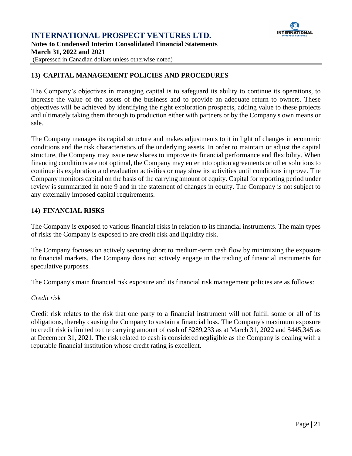

# **13) CAPITAL MANAGEMENT POLICIES AND PROCEDURES**

The Company's objectives in managing capital is to safeguard its ability to continue its operations, to increase the value of the assets of the business and to provide an adequate return to owners. These objectives will be achieved by identifying the right exploration prospects, adding value to these projects and ultimately taking them through to production either with partners or by the Company's own means or sale.

The Company manages its capital structure and makes adjustments to it in light of changes in economic conditions and the risk characteristics of the underlying assets. In order to maintain or adjust the capital structure, the Company may issue new shares to improve its financial performance and flexibility. When financing conditions are not optimal, the Company may enter into option agreements or other solutions to continue its exploration and evaluation activities or may slow its activities until conditions improve. The Company monitors capital on the basis of the carrying amount of equity. Capital for reporting period under review is summarized in note 9 and in the statement of changes in equity. The Company is not subject to any externally imposed capital requirements.

# **14) FINANCIAL RISKS**

The Company is exposed to various financial risks in relation to its financial instruments. The main types of risks the Company is exposed to are credit risk and liquidity risk.

The Company focuses on actively securing short to medium-term cash flow by minimizing the exposure to financial markets. The Company does not actively engage in the trading of financial instruments for speculative purposes.

The Company's main financial risk exposure and its financial risk management policies are as follows:

# *Credit risk*

Credit risk relates to the risk that one party to a financial instrument will not fulfill some or all of its obligations, thereby causing the Company to sustain a financial loss. The Company's maximum exposure to credit risk is limited to the carrying amount of cash of \$289,233 as at March 31, 2022 and \$445,345 as at December 31, 2021. The risk related to cash is considered negligible as the Company is dealing with a reputable financial institution whose credit rating is excellent.